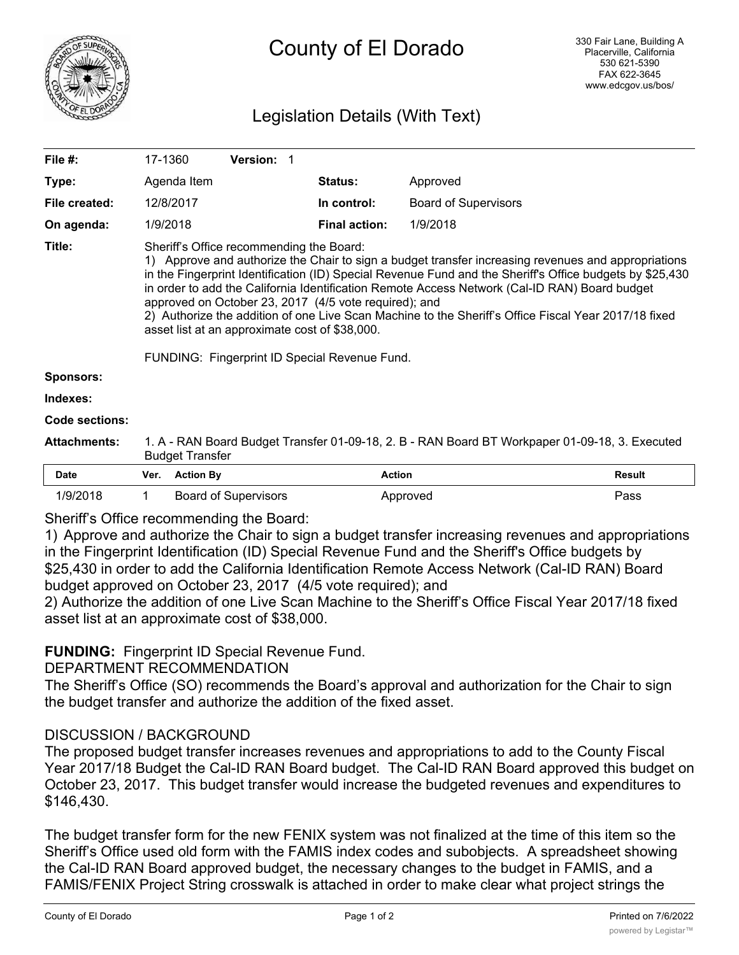

## Legislation Details (With Text)

| File #:               | 17-1360                                                                                                                                                                                                                                                                                                                                                                                                                                                                                                                                                                                                                          |                  | Version: 1                  |  |                      |                             |               |
|-----------------------|----------------------------------------------------------------------------------------------------------------------------------------------------------------------------------------------------------------------------------------------------------------------------------------------------------------------------------------------------------------------------------------------------------------------------------------------------------------------------------------------------------------------------------------------------------------------------------------------------------------------------------|------------------|-----------------------------|--|----------------------|-----------------------------|---------------|
| Type:                 |                                                                                                                                                                                                                                                                                                                                                                                                                                                                                                                                                                                                                                  | Agenda Item      |                             |  | <b>Status:</b>       | Approved                    |               |
| File created:         |                                                                                                                                                                                                                                                                                                                                                                                                                                                                                                                                                                                                                                  | 12/8/2017        |                             |  | In control:          | <b>Board of Supervisors</b> |               |
| On agenda:            |                                                                                                                                                                                                                                                                                                                                                                                                                                                                                                                                                                                                                                  | 1/9/2018         |                             |  | <b>Final action:</b> | 1/9/2018                    |               |
| Title:                | Sheriff's Office recommending the Board:<br>1) Approve and authorize the Chair to sign a budget transfer increasing revenues and appropriations<br>in the Fingerprint Identification (ID) Special Revenue Fund and the Sheriff's Office budgets by \$25,430<br>in order to add the California Identification Remote Access Network (Cal-ID RAN) Board budget<br>approved on October 23, 2017 (4/5 vote required); and<br>2) Authorize the addition of one Live Scan Machine to the Sheriff's Office Fiscal Year 2017/18 fixed<br>asset list at an approximate cost of \$38,000.<br>FUNDING: Fingerprint ID Special Revenue Fund. |                  |                             |  |                      |                             |               |
| <b>Sponsors:</b>      |                                                                                                                                                                                                                                                                                                                                                                                                                                                                                                                                                                                                                                  |                  |                             |  |                      |                             |               |
| Indexes:              |                                                                                                                                                                                                                                                                                                                                                                                                                                                                                                                                                                                                                                  |                  |                             |  |                      |                             |               |
| <b>Code sections:</b> |                                                                                                                                                                                                                                                                                                                                                                                                                                                                                                                                                                                                                                  |                  |                             |  |                      |                             |               |
| <b>Attachments:</b>   | 1. A - RAN Board Budget Transfer 01-09-18, 2. B - RAN Board BT Workpaper 01-09-18, 3. Executed<br><b>Budget Transfer</b>                                                                                                                                                                                                                                                                                                                                                                                                                                                                                                         |                  |                             |  |                      |                             |               |
| <b>Date</b>           | Ver.                                                                                                                                                                                                                                                                                                                                                                                                                                                                                                                                                                                                                             | <b>Action By</b> |                             |  | <b>Action</b>        |                             | <b>Result</b> |
| 1/9/2018              | 1                                                                                                                                                                                                                                                                                                                                                                                                                                                                                                                                                                                                                                |                  | <b>Board of Supervisors</b> |  |                      | Approved                    | Pass          |

Sheriff's Office recommending the Board:

1) Approve and authorize the Chair to sign a budget transfer increasing revenues and appropriations in the Fingerprint Identification (ID) Special Revenue Fund and the Sheriff's Office budgets by \$25,430 in order to add the California Identification Remote Access Network (Cal-ID RAN) Board budget approved on October 23, 2017 (4/5 vote required); and

2) Authorize the addition of one Live Scan Machine to the Sheriff's Office Fiscal Year 2017/18 fixed asset list at an approximate cost of \$38,000.

## **FUNDING:** Fingerprint ID Special Revenue Fund.

DEPARTMENT RECOMMENDATION

The Sheriff's Office (SO) recommends the Board's approval and authorization for the Chair to sign the budget transfer and authorize the addition of the fixed asset.

## DISCUSSION / BACKGROUND

The proposed budget transfer increases revenues and appropriations to add to the County Fiscal Year 2017/18 Budget the Cal-ID RAN Board budget. The Cal-ID RAN Board approved this budget on October 23, 2017. This budget transfer would increase the budgeted revenues and expenditures to \$146,430.

The budget transfer form for the new FENIX system was not finalized at the time of this item so the Sheriff's Office used old form with the FAMIS index codes and subobjects. A spreadsheet showing the Cal-ID RAN Board approved budget, the necessary changes to the budget in FAMIS, and a FAMIS/FENIX Project String crosswalk is attached in order to make clear what project strings the